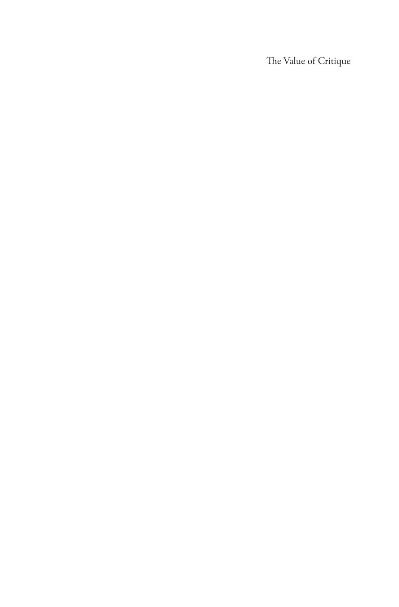The Value of Critique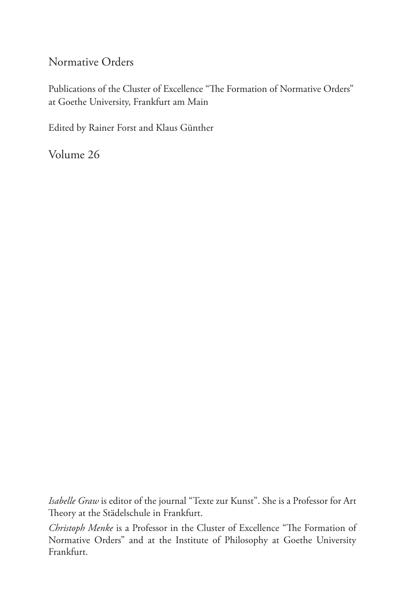#### Normative Orders

Publications of the Cluster of Excellence "The Formation of Normative Orders" at Goethe University, Frankfurt am Main

Edited by Rainer Forst and Klaus Günther

Volume 26

*Isabelle Graw* is editor of the journal "Texte zur Kunst". She is a Professor for Art Theory at the Städelschule in Frankfurt.

*Christoph Menke* is a Professor in the Cluster of Excellence "The Formation of Normative Orders" and at the Institute of Philosophy at Goethe University Frankfurt.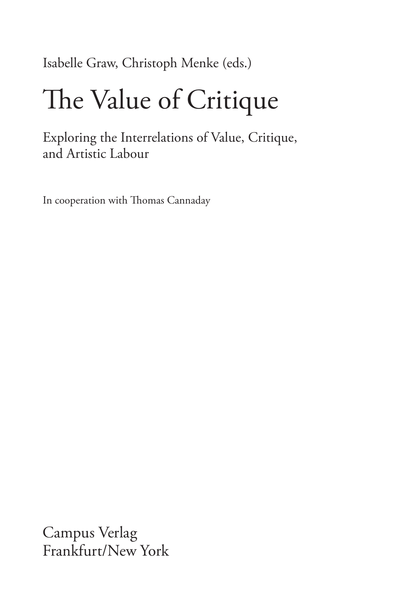Isabelle Graw, Christoph Menke (eds.)

# The Value of Critique

Exploring the Interrelations of Value, Critique, and Artistic Labour

In cooperation with Thomas Cannaday

Campus Verlag Frankfurt/New York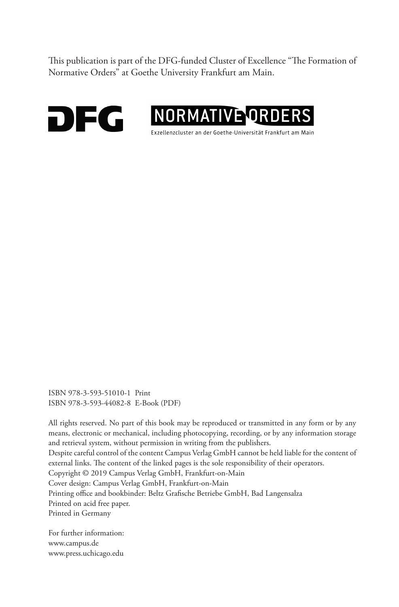This publication is part of the DFG-funded Cluster of Excellence "The Formation of Normative Orders" at Goethe University Frankfurt am Main.





ISBN 978-3-593-51010-1 Print ISBN 978-3-593-44082-8 E-Book (PDF)

All rights reserved. No part of this book may be reproduced or transmitted in any form or by any means, electronic or mechanical, including photocopying, recording, or by any information storage and retrieval system, without permission in writing from the publishers.

Despite careful control of the content Campus Verlag GmbH cannot be held liable for the content of external links. The content of the linked pages is the sole responsibility of their operators.

Copyright © 2019 Campus Verlag GmbH, Frankfurt-on-Main

Cover design: Campus Verlag GmbH, Frankfurt-on-Main

Printing office and bookbinder: Beltz Grafische Betriebe GmbH, Bad Langensalza Printed on acid free paper.

Printed in Germany

For further information: www.campus.de www.press.uchicago.edu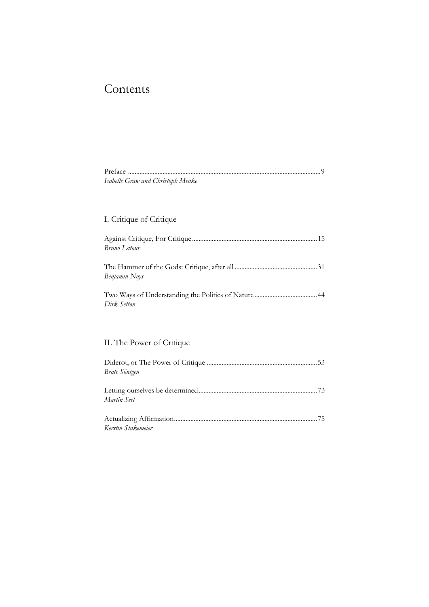# Contents

| Isabelle Graw and Christoph Menke |  |
|-----------------------------------|--|

### I. Critique of Critique

| <b>Bruno Latour</b> |  |
|---------------------|--|
| Benjamin Noys       |  |
| Dirk Setton         |  |

## II. The Power of Critique

| Beate Söntgen      |  |
|--------------------|--|
|                    |  |
|                    |  |
| Martin Seel        |  |
|                    |  |
|                    |  |
| Kerstin Stakemeier |  |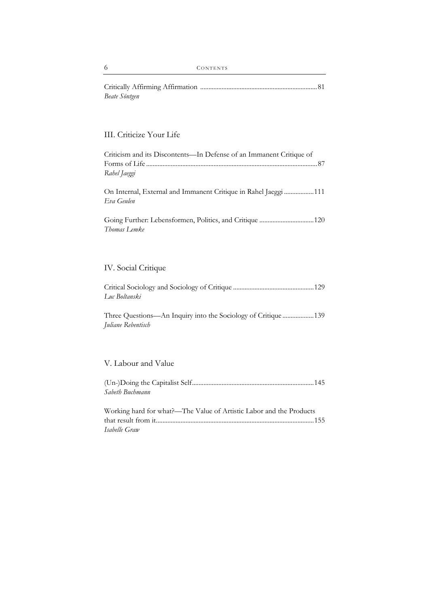| Beate Söntgen |  |
|---------------|--|

### III. Criticize Your Life

| Criticism and its Discontents-In Defense of an Immanent Critique of<br>Rahel Jaeggi |
|-------------------------------------------------------------------------------------|
| On Internal, External and Immanent Critique in Rahel Jaeggi 111<br>Eva Geulen       |
| Going Further: Lebensformen, Politics, and Critique 120<br>Thomas Lemke             |
|                                                                                     |
| IV. Social Critique                                                                 |
| Luc Boltanski                                                                       |
| Three Questions—An Inquiry into the Sociology of Critique139<br>Juliane Rebentisch  |
|                                                                                     |
| V. Labour and Value                                                                 |
|                                                                                     |

| Sabeth Buchmann |  |
|-----------------|--|
|-----------------|--|

| Working hard for what?—The Value of Artistic Labor and the Products |  |
|---------------------------------------------------------------------|--|
|                                                                     |  |
| Isabelle Graw                                                       |  |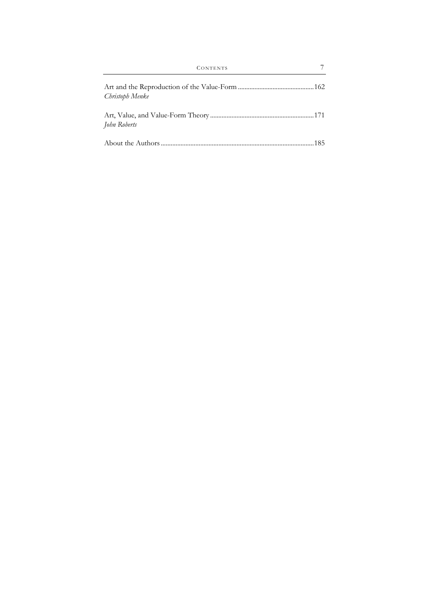| Christoph Menke |  |
|-----------------|--|
| John Roberts    |  |
|                 |  |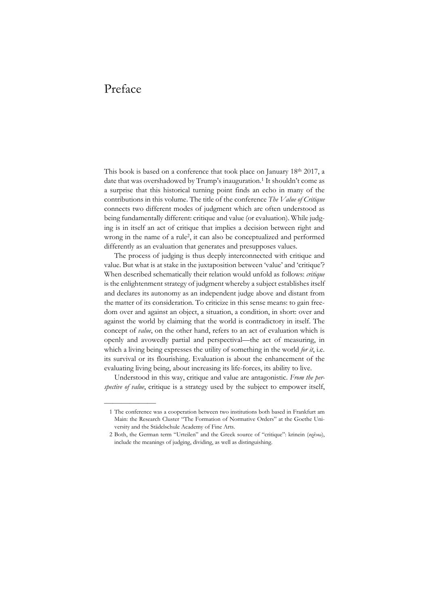## Preface

——————

This book is based on a conference that took place on January 18th 2017, a date that was overshadowed by Trump's inauguration.<sup>1</sup> It shouldn't come as a surprise that this historical turning point finds an echo in many of the contributions in this volume. The title of the conference *The Value of Critique* connects two different modes of judgment which are often understood as being fundamentally different: critique and value (or evaluation). While judging is in itself an act of critique that implies a decision between right and wrong in the name of a rule2, it can also be conceptualized and performed differently as an evaluation that generates and presupposes values.

The process of judging is thus deeply interconnected with critique and value. But what is at stake in the juxtaposition between 'value' and 'critique'? When described schematically their relation would unfold as follows: *critique* is the enlightenment strategy of judgment whereby a subject establishes itself and declares its autonomy as an independent judge above and distant from the matter of its consideration. To criticize in this sense means: to gain freedom over and against an object, a situation, a condition, in short: over and against the world by claiming that the world is contradictory in itself. The concept of *value*, on the other hand, refers to an act of evaluation which is openly and avowedly partial and perspectival—the act of measuring, in which a living being expresses the utility of something in the world *for it*, i.e. its survival or its flourishing. Evaluation is about the enhancement of the evaluating living being, about increasing its life-forces, its ability to live.

Understood in this way, critique and value are antagonistic. *From the perspective of value*, critique is a strategy used by the subject to empower itself,

 <sup>1</sup> The conference was a cooperation between two institutions both based in Frankfurt am Main: the Research Cluster "The Formation of Normative Orders" at the Goethe University and the Städelschule Academy of Fine Arts.

 <sup>2</sup> Both, the German term "Urteilen" and the Greek source of "critique": krinein (κρίνω), include the meanings of judging, dividing, as well as distinguishing.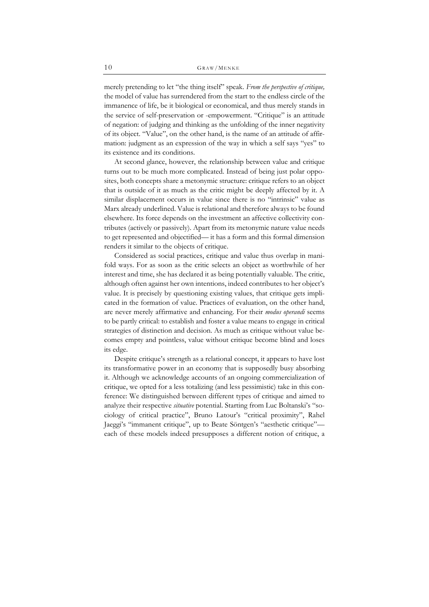merely pretending to let "the thing itself" speak. *From the perspective of critique,* the model of value has surrendered from the start to the endless circle of the immanence of life, be it biological or economical, and thus merely stands in the service of self-preservation or -empowerment. "Critique" is an attitude of negation: of judging and thinking as the unfolding of the inner negativity of its object. "Value", on the other hand, is the name of an attitude of affirmation: judgment as an expression of the way in which a self says "yes" to its existence and its conditions.

At second glance, however, the relationship between value and critique turns out to be much more complicated. Instead of being just polar opposites, both concepts share a metonymic structure: critique refers to an object that is outside of it as much as the critic might be deeply affected by it. A similar displacement occurs in value since there is no "intrinsic" value as Marx already underlined. Value is relational and therefore always to be found elsewhere. Its force depends on the investment an affective collectivity contributes (actively or passively). Apart from its metonymic nature value needs to get represented and objectified— it has a form and this formal dimension renders it similar to the objects of critique.

Considered as social practices, critique and value thus overlap in manifold ways. For as soon as the critic selects an object as worthwhile of her interest and time, she has declared it as being potentially valuable. The critic, although often against her own intentions, indeed contributes to her object's value. It is precisely by questioning existing values, that critique gets implicated in the formation of value. Practices of evaluation, on the other hand, are never merely affirmative and enhancing. For their *modus operandi* seems to be partly critical: to establish and foster a value means to engage in critical strategies of distinction and decision. As much as critique without value becomes empty and pointless, value without critique become blind and loses its edge.

Despite critique's strength as a relational concept, it appears to have lost its transformative power in an economy that is supposedly busy absorbing it. Although we acknowledge accounts of an ongoing commercialization of critique, we opted for a less totalizing (and less pessimistic) take in this conference: We distinguished between different types of critique and aimed to analyze their respective *situative* potential. Starting from Luc Boltanski's "sociology of critical practice", Bruno Latour's "critical proximity", Rahel Jaeggi's "immanent critique", up to Beate Söntgen's "aesthetic critique" each of these models indeed presupposes a different notion of critique, a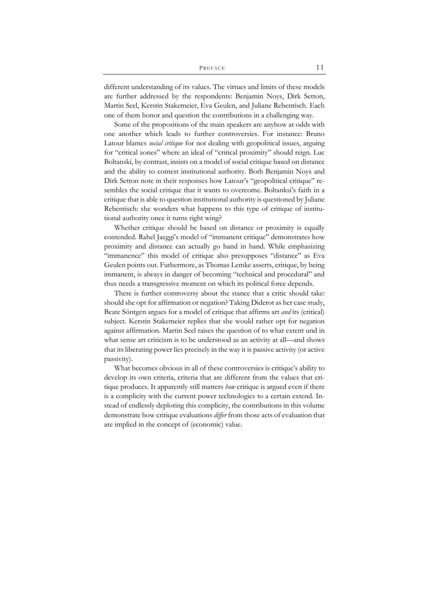different understanding of its values. The virtues and limits of these models are further addressed by the respondents: Benjamin Noys, Dirk Setton, Martin Seel, Kerstin Stakemeier, Eva Geulen, and Juliane Rebentisch. Each one of them honor and question the contributions in a challenging way.

Some of the propositions of the main speakers are anyhow at odds with one another which leads to further controversies. For instance: Bruno Latour blames *social critique* for not dealing with geopolitical issues, arguing for "critical zones" where an ideal of "critical proximity" should reign. Luc Boltanski, by contrast, insists on a model of social critique based on distance and the ability to contest institutional authority. Both Benjamin Noys and Dirk Setton note in their responses how Latour's "geopolitical critique" resembles the social critique that it wants to overcome. Boltanksi's faith in a critique that is able to question institutional authority is questioned by Juliane Rebentisch: she wonders what happens to this type of critique of institutional authority once it turns right wing?

Whether critique should be based on distance or proximity is equally contended. Rahel Jaeggi's model of "immanent critique" demonstrates how proximity and distance can actually go hand in hand. While emphasizing "immanence" this model of critique also presupposes "distance" as Eva Geulen points out. Futhermore, as Thomas Lemke asserts, critique, by being immanent, is always in danger of becoming "technical and procedural" and thus needs a transgressive moment on which its political force depends.

There is further controversy about the stance that a critic should take: should she opt for affirmation or negation? Taking Diderot as her case study, Beate Söntgen argues for a model of critique that affirms art *and* its (critical) subject. Kerstin Stakemeier replies that she would rather opt for negation against affirmation. Martin Seel raises the question of to what extent und in what sense art criticism is to be understood as an activity at all—and shows that its liberating power lies precisely in the way it is passive activity (or active passivity).

What becomes obvious in all of these controversies is critique's ability to develop its own criteria, criteria that are different from the values that critique produces. It apparently still matters *how* critique is argued even if there is a complicity with the current power technologies to a certain extend. Instead of endlessly deploring this complicity, the contributions in this volume demonstrate how critique evaluations *differ* from those acts of evaluation that are implied in the concept of (economic) value.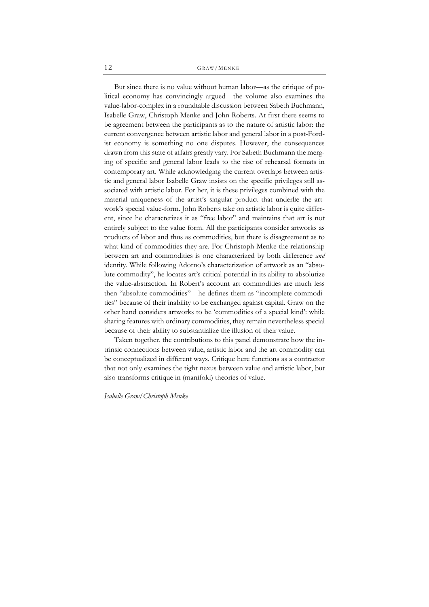But since there is no value without human labor—as the critique of political economy has convincingly argued—the volume also examines the value-labor-complex in a roundtable discussion between Sabeth Buchmann, Isabelle Graw, Christoph Menke and John Roberts. At first there seems to be agreement between the participants as to the nature of artistic labor: the current convergence between artistic labor and general labor in a post-Fordist economy is something no one disputes. However, the consequences drawn from this state of affairs greatly vary. For Sabeth Buchmann the merging of specific and general labor leads to the rise of rehearsal formats in contemporary art. While acknowledging the current overlaps between artistic and general labor Isabelle Graw insists on the specific privileges still associated with artistic labor. For her, it is these privileges combined with the material uniqueness of the artist's singular product that underlie the artwork's special value-form. John Roberts take on artistic labor is quite different, since he characterizes it as "free labor" and maintains that art is not entirely subject to the value form. All the participants consider artworks as products of labor and thus as commodities, but there is disagreement as to what kind of commodities they are. For Christoph Menke the relationship between art and commodities is one characterized by both difference *and* identity. While following Adorno's characterization of artwork as an "absolute commodity", he locates art's critical potential in its ability to absolutize the value-abstraction. In Robert's account art commodities are much less then "absolute commodities"—he defines them as "incomplete commodities" because of their inability to be exchanged against capital. Graw on the other hand considers artworks to be 'commodities of a special kind': while sharing features with ordinary commodities, they remain nevertheless special because of their ability to substantialize the illusion of their value.

Taken together, the contributions to this panel demonstrate how the intrinsic connections between value, artistic labor and the art commodity can be conceptualized in different ways. Critique here functions as a contractor that not only examines the tight nexus between value and artistic labor, but also transforms critique in (manifold) theories of value.

*Isabelle Graw/Christoph Menke*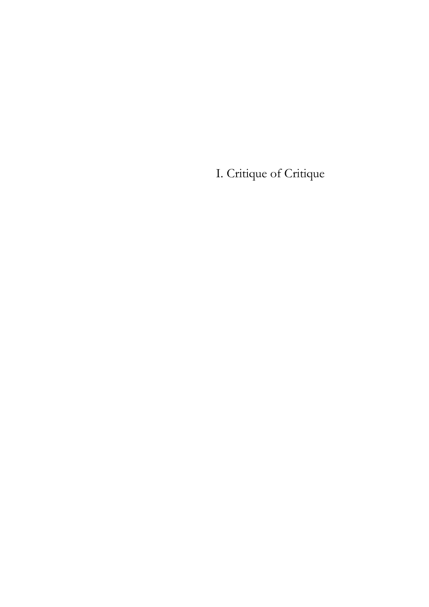I. Critique of Critique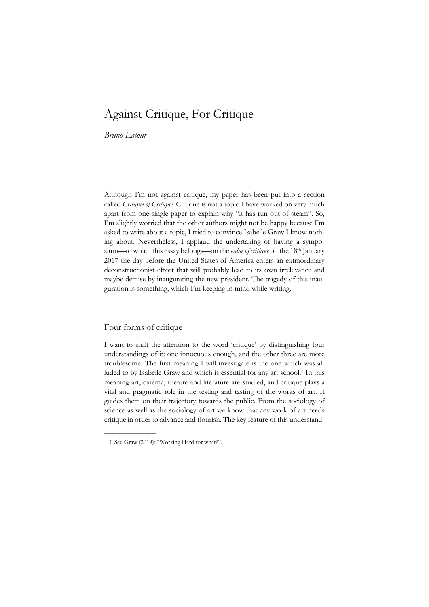# Against Critique, For Critique

*Bruno Latour* 

Although I'm not against critique, my paper has been put into a section called *Critique of Critique*. Critique is not a topic I have worked on very much apart from one single paper to explain why "it has run out of steam". So, I'm slightly worried that the other authors might not be happy because I'm asked to write about a topic, I tried to convince Isabelle Graw I know nothing about. Nevertheless, I applaud the undertaking of having a symposium—to which this essay belongs—on the *value of critique* on the 18<sup>th</sup> January 2017 the day before the United States of America enters an extraordinary deconstructionist effort that will probably lead to its own irrelevance and maybe demise by inaugurating the new president. The tragedy of this inauguration is something, which I'm keeping in mind while writing.

#### Four forms of critique

——————

I want to shift the attention to the word 'critique' by distinguishing four understandings of it: one innocuous enough, and the other three are more troublesome. The first meaning I will investigate is the one which was alluded to by Isabelle Graw and which is essential for any art school.1 In this meaning art, cinema, theatre and literature are studied, and critique plays a vital and pragmatic role in the testing and tasting of the works of art. It guides them on their trajectory towards the public. From the sociology of science as well as the sociology of art we know that any work of art needs critique in order to advance and flourish. The key feature of this understand-

 <sup>1</sup> See Graw (2019): "Working Hard for what?".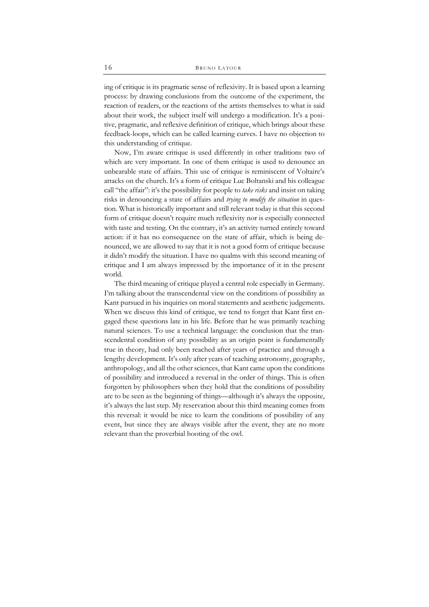ing of critique is its pragmatic sense of reflexivity. It is based upon a learning process: by drawing conclusions from the outcome of the experiment, the reaction of readers, or the reactions of the artists themselves to what is said about their work, the subject itself will undergo a modification. It's a positive, pragmatic, and reflexive definition of critique, which brings about these feedback-loops, which can be called learning curves. I have no objection to this understanding of critique.

Now, I'm aware critique is used differently in other traditions two of which are very important. In one of them critique is used to denounce an unbearable state of affairs. This use of critique is reminiscent of Voltaire's attacks on the church. It's a form of critique Luc Boltanski and his colleague call "the affair": it's the possibility for people to *take risks* and insist on taking risks in denouncing a state of affairs and *trying to modify the situation* in question. What is historically important and still relevant today is that this second form of critique doesn't require much reflexivity nor is especially connected with taste and testing. On the contrary, it's an activity turned entirely toward action: if it has no consequence on the state of affair, which is being denounced, we are allowed to say that it is not a good form of critique because it didn't modify the situation. I have no qualms with this second meaning of critique and I am always impressed by the importance of it in the present world.

The third meaning of critique played a central role especially in Germany. I'm talking about the transcendental view on the conditions of possibility as Kant pursued in his inquiries on moral statements and aesthetic judgements. When we discuss this kind of critique, we tend to forget that Kant first engaged these questions late in his life. Before that he was primarily teaching natural sciences. To use a technical language: the conclusion that the transcendental condition of any possibility as an origin point is fundamentally true in theory, had only been reached after years of practice and through a lengthy development. It's only after years of teaching astronomy, geography, anthropology, and all the other sciences, that Kant came upon the conditions of possibility and introduced a reversal in the order of things. This is often forgotten by philosophers when they hold that the conditions of possibility are to be seen as the beginning of things—although it's always the opposite, it's always the last step. My reservation about this third meaning comes from this reversal: it would be nice to learn the conditions of possibility of any event, but since they are always visible after the event, they are no more relevant than the proverbial hooting of the owl.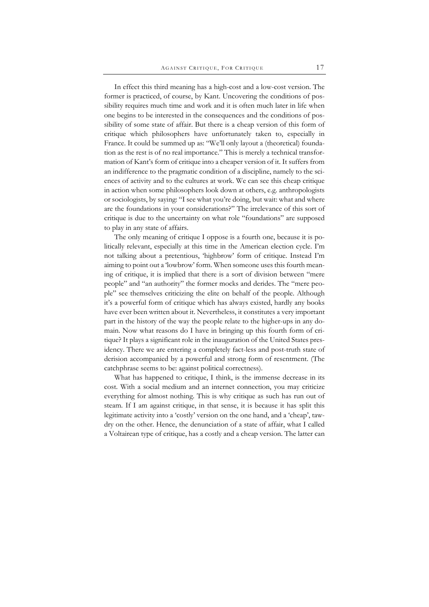In effect this third meaning has a high-cost and a low-cost version. The former is practiced, of course, by Kant. Uncovering the conditions of possibility requires much time and work and it is often much later in life when one begins to be interested in the consequences and the conditions of possibility of some state of affair. But there is a cheap version of this form of critique which philosophers have unfortunately taken to, especially in France. It could be summed up as: "We'll only layout a (theoretical) foundation as the rest is of no real importance." This is merely a technical transformation of Kant's form of critique into a cheaper version of it. It suffers from an indifference to the pragmatic condition of a discipline, namely to the sciences of activity and to the cultures at work. We can see this cheap critique in action when some philosophers look down at others, e.g. anthropologists or sociologists, by saying: "I see what you're doing, but wait: what and where are the foundations in your considerations?" The irrelevance of this sort of critique is due to the uncertainty on what role "foundations" are supposed to play in any state of affairs.

The only meaning of critique I oppose is a fourth one, because it is politically relevant, especially at this time in the American election cycle. I'm not talking about a pretentious, 'highbrow' form of critique. Instead I'm aiming to point out a 'lowbrow' form. When someone uses this fourth meaning of critique, it is implied that there is a sort of division between "mere people" and "an authority" the former mocks and derides. The "mere people" see themselves criticizing the elite on behalf of the people. Although it's a powerful form of critique which has always existed, hardly any books have ever been written about it. Nevertheless, it constitutes a very important part in the history of the way the people relate to the higher-ups in any domain. Now what reasons do I have in bringing up this fourth form of critique? It plays a significant role in the inauguration of the United States presidency. There we are entering a completely fact-less and post-truth state of derision accompanied by a powerful and strong form of resentment. (The catchphrase seems to be: against political correctness).

What has happened to critique, I think, is the immense decrease in its cost. With a social medium and an internet connection, you may criticize everything for almost nothing. This is why critique as such has run out of steam. If I am against critique, in that sense, it is because it has split this legitimate activity into a 'costly' version on the one hand, and a 'cheap', tawdry on the other. Hence, the denunciation of a state of affair, what I called a Voltairean type of critique, has a costly and a cheap version. The latter can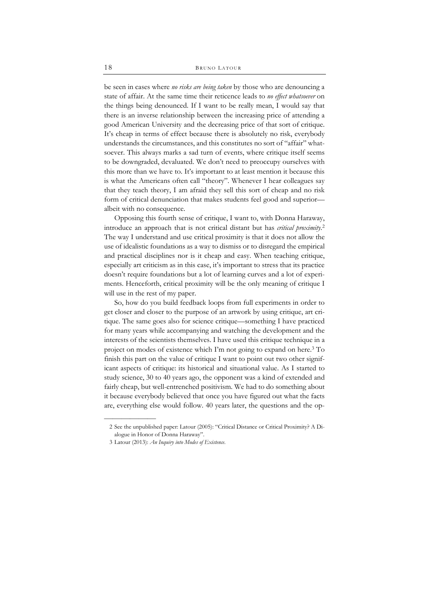be seen in cases where *no risks are being taken* by those who are denouncing a state of affair. At the same time their reticence leads to *no effect whatsoever* on the things being denounced. If I want to be really mean, I would say that there is an inverse relationship between the increasing price of attending a good American University and the decreasing price of that sort of critique. It's cheap in terms of effect because there is absolutely no risk, everybody understands the circumstances, and this constitutes no sort of "affair" whatsoever. This always marks a sad turn of events, where critique itself seems to be downgraded, devaluated. We don't need to preoccupy ourselves with this more than we have to. It's important to at least mention it because this is what the Americans often call "theory". Whenever I hear colleagues say that they teach theory, I am afraid they sell this sort of cheap and no risk form of critical denunciation that makes students feel good and superior albeit with no consequence.

Opposing this fourth sense of critique, I want to, with Donna Haraway, introduce an approach that is not critical distant but has *critical proximity*. 2 The way I understand and use critical proximity is that it does not allow the use of idealistic foundations as a way to dismiss or to disregard the empirical and practical disciplines nor is it cheap and easy. When teaching critique, especially art criticism as in this case, it's important to stress that its practice doesn't require foundations but a lot of learning curves and a lot of experiments. Henceforth, critical proximity will be the only meaning of critique I will use in the rest of my paper.

So, how do you build feedback loops from full experiments in order to get closer and closer to the purpose of an artwork by using critique, art critique. The same goes also for science critique—something I have practiced for many years while accompanying and watching the development and the interests of the scientists themselves. I have used this critique technique in a project on modes of existence which I'm not going to expand on here.3 To finish this part on the value of critique I want to point out two other significant aspects of critique: its historical and situational value. As I started to study science, 30 to 40 years ago, the opponent was a kind of extended and fairly cheap, but well-entrenched positivism. We had to do something about it because everybody believed that once you have figured out what the facts are, everything else would follow. 40 years later, the questions and the op-

——————

 <sup>2</sup> See the unpublished paper: Latour (2005): "Critical Distance or Critical Proximity? A Dialogue in Honor of Donna Haraway".

 <sup>3</sup> Latour (2013): *An Inquiry into Modes of Existence*.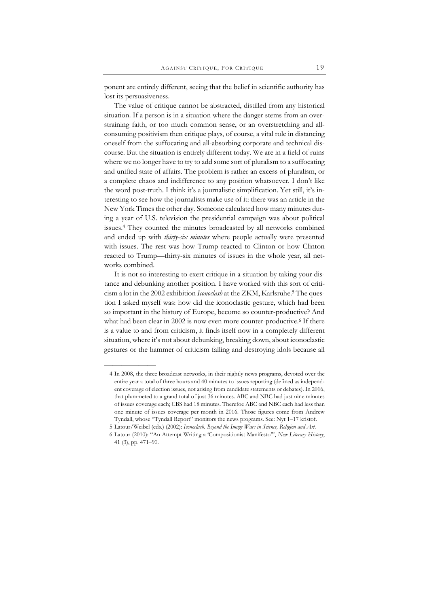ponent are entirely different, seeing that the belief in scientific authority has lost its persuasiveness.

The value of critique cannot be abstracted, distilled from any historical situation. If a person is in a situation where the danger stems from an overstraining faith, or too much common sense, or an overstretching and allconsuming positivism then critique plays, of course, a vital role in distancing oneself from the suffocating and all-absorbing corporate and technical discourse. But the situation is entirely different today. We are in a field of ruins where we no longer have to try to add some sort of pluralism to a suffocating and unified state of affairs. The problem is rather an excess of pluralism, or a complete chaos and indifference to any position whatsoever. I don't like the word post-truth. I think it's a journalistic simplification. Yet still, it's interesting to see how the journalists make use of it: there was an article in the New York Times the other day. Someone calculated how many minutes during a year of U.S. television the presidential campaign was about political issues.4 They counted the minutes broadcasted by all networks combined and ended up with *thirty-six minutes* where people actually were presented with issues. The rest was how Trump reacted to Clinton or how Clinton reacted to Trump—thirty-six minutes of issues in the whole year, all networks combined.

It is not so interesting to exert critique in a situation by taking your distance and debunking another position. I have worked with this sort of criticism a lot in the 2002 exhibition *Iconoclash* at the ZKM, Karlsruhe.5 The question I asked myself was: how did the iconoclastic gesture, which had been so important in the history of Europe, become so counter-productive? And what had been clear in 2002 is now even more counter-productive.<sup>6</sup> If there is a value to and from criticism, it finds itself now in a completely different situation, where it's not about debunking, breaking down, about iconoclastic gestures or the hammer of criticism falling and destroying idols because all

——————

 <sup>4</sup> In 2008, the three broadcast networks, in their nightly news programs, devoted over the entire year a total of three hours and 40 minutes to issues reporting (defined as independent coverage of election issues, not arising from candidate statements or debates). In 2016, that plummeted to a grand total of just 36 minutes. ABC and NBC had just nine minutes of issues coverage each; CBS had 18 minutes. Therefoe ABC and NBC each had less than one minute of issues coverage per month in 2016. Those figures come from Andrew Tyndall, whose "Tyndall Report" monitors the news programs. See: Nyt 1–17 kristof.

 <sup>5</sup> Latour/Weibel (eds.) (2002): *Iconoclash. Beyond the Image Wars in Science, Religion and Art.*

 <sup>6</sup> Latour (2010): "An Attempt Writing a 'Compositionist Manifesto'", *New Literary History*, 41 (3), pp. 471–90.